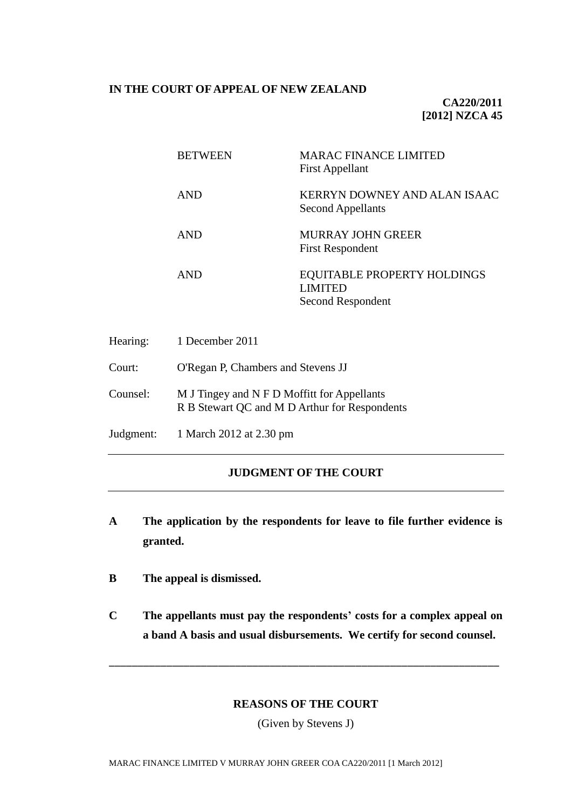### **IN THE COURT OF APPEAL OF NEW ZEALAND**

**CA220/2011 [2012] NZCA 45**

| <b>BETWEEN</b> | MARAC FINANCE LIMITED<br><b>First Appellant</b>                           |
|----------------|---------------------------------------------------------------------------|
| <b>AND</b>     | KERRYN DOWNEY AND ALAN ISAAC<br><b>Second Appellants</b>                  |
| <b>AND</b>     | MURRAY JOHN GREER<br><b>First Respondent</b>                              |
| AND            | <b>EQUITABLE PROPERTY HOLDINGS</b><br><b>LIMITED</b><br>Second Respondent |

| Hearing: | 1 December 2011                                                                              |
|----------|----------------------------------------------------------------------------------------------|
| Court:   | O'Regan P, Chambers and Stevens JJ                                                           |
| Counsel: | M J Tingey and N F D Moffitt for Appellants<br>R B Stewart QC and M D Arthur for Respondents |
|          | Judgment: 1 March 2012 at 2.30 pm                                                            |

# **JUDGMENT OF THE COURT**

- **A The application by the respondents for leave to file further evidence is granted.**
- **B The appeal is dismissed.**
- **C The appellants must pay the respondents' costs for a complex appeal on a band A basis and usual disbursements. We certify for second counsel.**

### **REASONS OF THE COURT**

\_\_\_\_\_\_\_\_\_\_\_\_\_\_\_\_\_\_\_\_\_\_\_\_\_\_\_\_\_\_\_\_\_\_\_\_\_\_\_\_\_\_\_\_\_\_\_\_\_\_\_\_\_\_\_\_\_\_\_\_\_\_\_\_\_\_\_\_

(Given by Stevens J)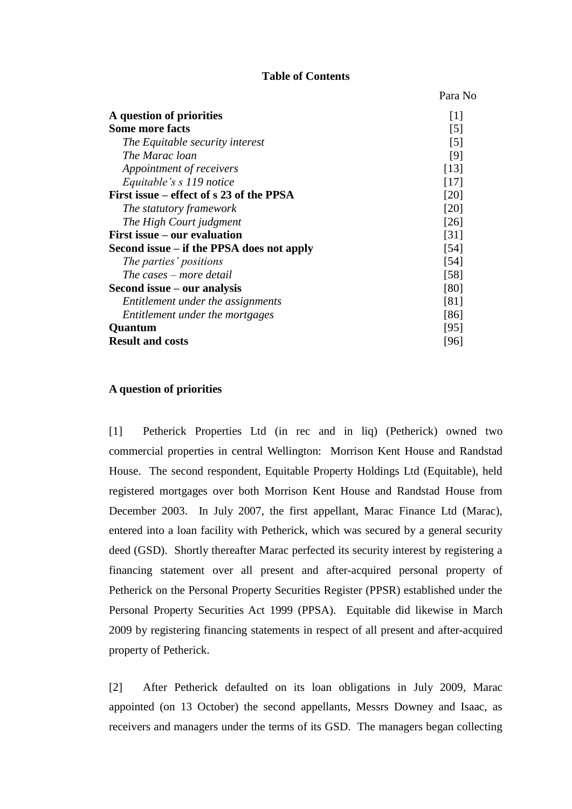### **Table of Contents**

Para No

| A question of priorities                  | $\lceil 1 \rceil$ |
|-------------------------------------------|-------------------|
| <b>Some more facts</b>                    | $\lceil 5 \rceil$ |
| The Equitable security interest           | [5]               |
| The Marac loan                            | [9]               |
| Appointment of receivers                  | [13]              |
| Equitable's s 119 notice                  | [17]              |
| First issue – effect of s 23 of the PPSA  | [20]              |
| The statutory framework                   | [20]              |
| The High Court judgment                   | [26]              |
| First issue – our evaluation              | $\left[31\right]$ |
| Second issue – if the PPSA does not apply | [54]              |
| The parties' positions                    | [54]              |
| The cases – more detail                   | [58]              |
| Second issue $-$ our analysis             | [80]              |
| Entitlement under the assignments         | [81]              |
| Entitlement under the mortgages           | [86]              |
| <b>Quantum</b>                            | [95]              |
| <b>Result and costs</b>                   | [96]              |
|                                           |                   |

### **A question of priorities**

<span id="page-1-0"></span>[1] Petherick Properties Ltd (in rec and in liq) (Petherick) owned two commercial properties in central Wellington: Morrison Kent House and Randstad House. The second respondent, Equitable Property Holdings Ltd (Equitable), held registered mortgages over both Morrison Kent House and Randstad House from December 2003. In July 2007, the first appellant, Marac Finance Ltd (Marac), entered into a loan facility with Petherick, which was secured by a general security deed (GSD). Shortly thereafter Marac perfected its security interest by registering a financing statement over all present and after-acquired personal property of Petherick on the Personal Property Securities Register (PPSR) established under the Personal Property Securities Act 1999 (PPSA). Equitable did likewise in March 2009 by registering financing statements in respect of all present and after-acquired property of Petherick.

[2] After Petherick defaulted on its loan obligations in July 2009, Marac appointed (on 13 October) the second appellants, Messrs Downey and Isaac, as receivers and managers under the terms of its GSD. The managers began collecting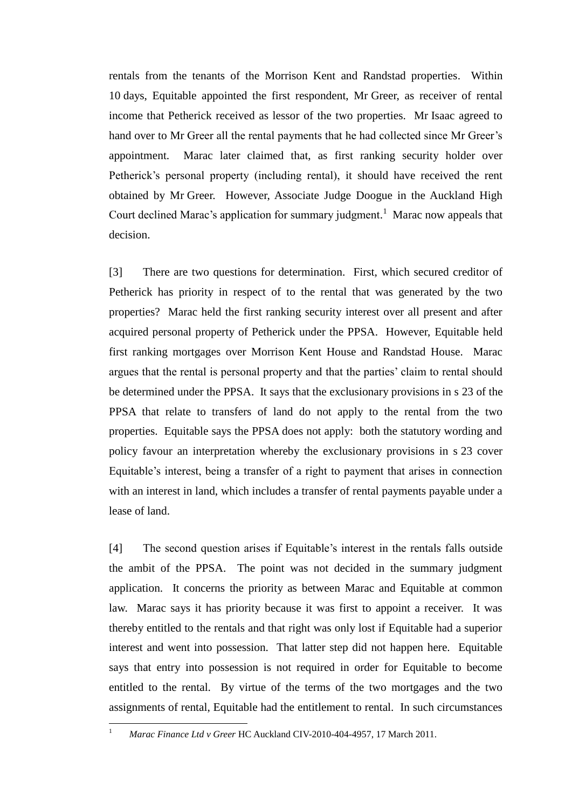rentals from the tenants of the Morrison Kent and Randstad properties. Within 10 days, Equitable appointed the first respondent, Mr Greer, as receiver of rental income that Petherick received as lessor of the two properties. Mr Isaac agreed to hand over to Mr Greer all the rental payments that he had collected since Mr Greer's appointment. Marac later claimed that, as first ranking security holder over Petherick's personal property (including rental), it should have received the rent obtained by Mr Greer. However, Associate Judge Doogue in the Auckland High Court declined Marac's application for summary judgment. <sup>1</sup> Marac now appeals that decision.

[3] There are two questions for determination. First, which secured creditor of Petherick has priority in respect of to the rental that was generated by the two properties? Marac held the first ranking security interest over all present and after acquired personal property of Petherick under the PPSA. However, Equitable held first ranking mortgages over Morrison Kent House and Randstad House. Marac argues that the rental is personal property and that the parties' claim to rental should be determined under the PPSA. It says that the exclusionary provisions in s 23 of the PPSA that relate to transfers of land do not apply to the rental from the two properties. Equitable says the PPSA does not apply: both the statutory wording and policy favour an interpretation whereby the exclusionary provisions in s 23 cover Equitable's interest, being a transfer of a right to payment that arises in connection with an interest in land, which includes a transfer of rental payments payable under a lease of land.

[4] The second question arises if Equitable's interest in the rentals falls outside the ambit of the PPSA. The point was not decided in the summary judgment application. It concerns the priority as between Marac and Equitable at common law. Marac says it has priority because it was first to appoint a receiver. It was thereby entitled to the rentals and that right was only lost if Equitable had a superior interest and went into possession. That latter step did not happen here. Equitable says that entry into possession is not required in order for Equitable to become entitled to the rental. By virtue of the terms of the two mortgages and the two assignments of rental, Equitable had the entitlement to rental. In such circumstances

 $\bar{1}$ 

<sup>1</sup> *Marac Finance Ltd v Greer* HC Auckland CIV-2010-404-4957, 17 March 2011.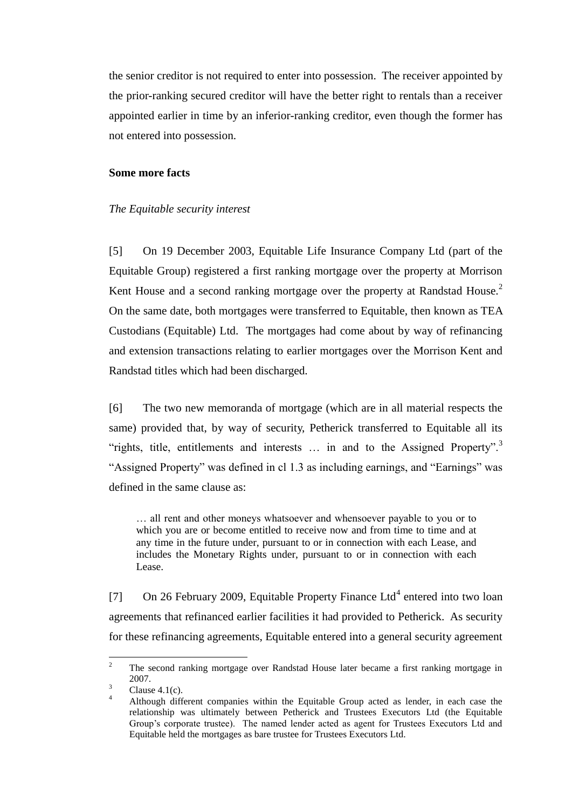the senior creditor is not required to enter into possession. The receiver appointed by the prior-ranking secured creditor will have the better right to rentals than a receiver appointed earlier in time by an inferior-ranking creditor, even though the former has not entered into possession.

#### **Some more facts**

#### *The Equitable security interest*

<span id="page-3-0"></span>[5] On 19 December 2003, Equitable Life Insurance Company Ltd (part of the Equitable Group) registered a first ranking mortgage over the property at Morrison Kent House and a second ranking mortgage over the property at Randstad House.<sup>2</sup> On the same date, both mortgages were transferred to Equitable, then known as TEA Custodians (Equitable) Ltd. The mortgages had come about by way of refinancing and extension transactions relating to earlier mortgages over the Morrison Kent and Randstad titles which had been discharged.

[6] The two new memoranda of mortgage (which are in all material respects the same) provided that, by way of security, Petherick transferred to Equitable all its "rights, title, entitlements and interests  $\ldots$  in and to the Assigned Property".<sup>3</sup> "Assigned Property" was defined in cl 1.3 as including earnings, and "Earnings" was defined in the same clause as:

… all rent and other moneys whatsoever and whensoever payable to you or to which you are or become entitled to receive now and from time to time and at any time in the future under, pursuant to or in connection with each Lease, and includes the Monetary Rights under, pursuant to or in connection with each Lease.

[7] On 26 February 2009, Equitable Property Finance Ltd<sup>4</sup> entered into two loan agreements that refinanced earlier facilities it had provided to Petherick. As security for these refinancing agreements, Equitable entered into a general security agreement

 $\mathcal{L}$ <sup>2</sup> The second ranking mortgage over Randstad House later became a first ranking mortgage in 2007.

 $3$  Clause 4.1(c).

<sup>4</sup> Although different companies within the Equitable Group acted as lender, in each case the relationship was ultimately between Petherick and Trustees Executors Ltd (the Equitable Group's corporate trustee). The named lender acted as agent for Trustees Executors Ltd and Equitable held the mortgages as bare trustee for Trustees Executors Ltd.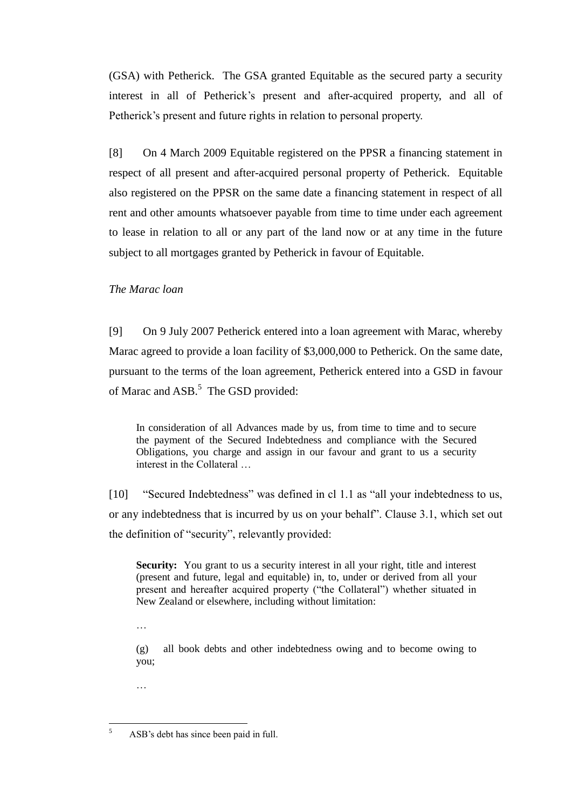(GSA) with Petherick. The GSA granted Equitable as the secured party a security interest in all of Petherick's present and after-acquired property, and all of Petherick's present and future rights in relation to personal property.

[8] On 4 March 2009 Equitable registered on the PPSR a financing statement in respect of all present and after-acquired personal property of Petherick. Equitable also registered on the PPSR on the same date a financing statement in respect of all rent and other amounts whatsoever payable from time to time under each agreement to lease in relation to all or any part of the land now or at any time in the future subject to all mortgages granted by Petherick in favour of Equitable.

## *The Marac loan*

<span id="page-4-0"></span>[9] On 9 July 2007 Petherick entered into a loan agreement with Marac, whereby Marac agreed to provide a loan facility of \$3,000,000 to Petherick. On the same date, pursuant to the terms of the loan agreement, Petherick entered into a GSD in favour of Marac and ASB.<sup>5</sup> The GSD provided:

In consideration of all Advances made by us, from time to time and to secure the payment of the Secured Indebtedness and compliance with the Secured Obligations, you charge and assign in our favour and grant to us a security interest in the Collateral …

[10] "Secured Indebtedness" was defined in cl 1.1 as "all your indebtedness to us, or any indebtedness that is incurred by us on your behalf". Clause 3.1, which set out the definition of "security", relevantly provided:

**Security:** You grant to us a security interest in all your right, title and interest (present and future, legal and equitable) in, to, under or derived from all your present and hereafter acquired property ("the Collateral") whether situated in New Zealand or elsewhere, including without limitation:

…

(g) all book debts and other indebtedness owing and to become owing to you;

…

 $\sqrt{5}$ ASB's debt has since been paid in full.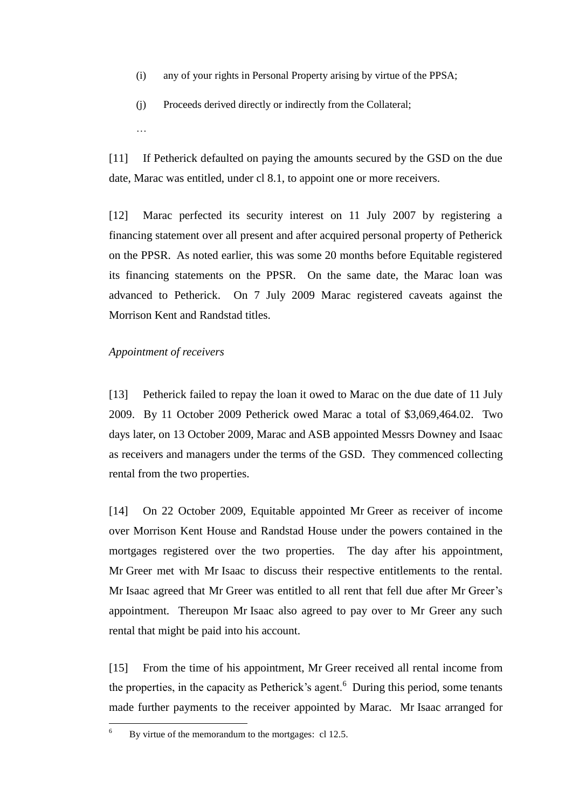- (i) any of your rights in Personal Property arising by virtue of the PPSA;
- (j) Proceeds derived directly or indirectly from the Collateral;
- [11] If Petherick defaulted on paying the amounts secured by the GSD on the due date, Marac was entitled, under cl 8.1, to appoint one or more receivers.

[12] Marac perfected its security interest on 11 July 2007 by registering a financing statement over all present and after acquired personal property of Petherick on the PPSR. As noted earlier, this was some 20 months before Equitable registered its financing statements on the PPSR. On the same date, the Marac loan was advanced to Petherick. On 7 July 2009 Marac registered caveats against the Morrison Kent and Randstad titles.

### *Appointment of receivers*

…

<span id="page-5-0"></span>[13] Petherick failed to repay the loan it owed to Marac on the due date of 11 July 2009. By 11 October 2009 Petherick owed Marac a total of \$3,069,464.02. Two days later, on 13 October 2009, Marac and ASB appointed Messrs Downey and Isaac as receivers and managers under the terms of the GSD. They commenced collecting rental from the two properties.

[14] On 22 October 2009, Equitable appointed Mr Greer as receiver of income over Morrison Kent House and Randstad House under the powers contained in the mortgages registered over the two properties. The day after his appointment, Mr Greer met with Mr Isaac to discuss their respective entitlements to the rental. Mr Isaac agreed that Mr Greer was entitled to all rent that fell due after Mr Greer's appointment. Thereupon Mr Isaac also agreed to pay over to Mr Greer any such rental that might be paid into his account.

[15] From the time of his appointment, Mr Greer received all rental income from the properties, in the capacity as Petherick's agent. $<sup>6</sup>$  During this period, some tenants</sup> made further payments to the receiver appointed by Marac. Mr Isaac arranged for

 $\sqrt{6}$ By virtue of the memorandum to the mortgages: cl 12.5.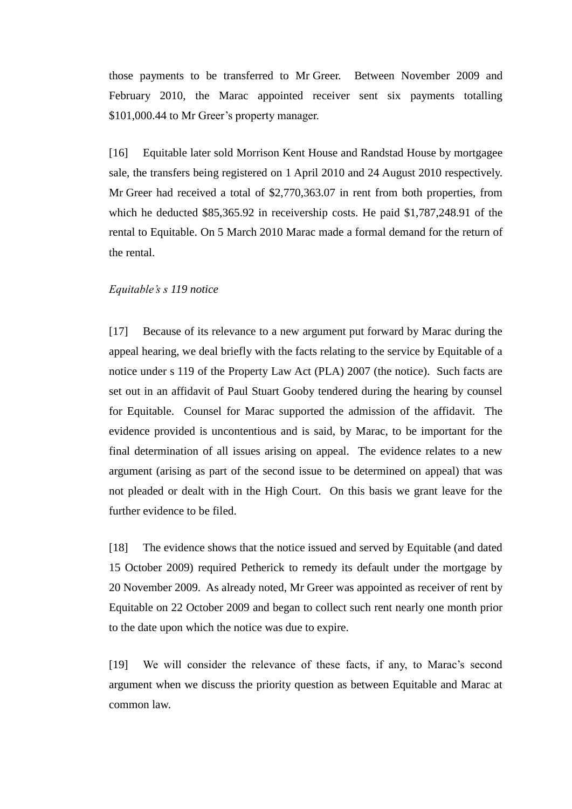those payments to be transferred to Mr Greer. Between November 2009 and February 2010, the Marac appointed receiver sent six payments totalling \$101,000.44 to Mr Greer's property manager.

[16] Equitable later sold Morrison Kent House and Randstad House by mortgagee sale, the transfers being registered on 1 April 2010 and 24 August 2010 respectively. Mr Greer had received a total of \$2,770,363.07 in rent from both properties, from which he deducted \$85,365.92 in receivership costs. He paid \$1,787,248.91 of the rental to Equitable. On 5 March 2010 Marac made a formal demand for the return of the rental.

### *Equitable's s 119 notice*

<span id="page-6-0"></span>[17] Because of its relevance to a new argument put forward by Marac during the appeal hearing, we deal briefly with the facts relating to the service by Equitable of a notice under s 119 of the Property Law Act (PLA) 2007 (the notice). Such facts are set out in an affidavit of Paul Stuart Gooby tendered during the hearing by counsel for Equitable. Counsel for Marac supported the admission of the affidavit. The evidence provided is uncontentious and is said, by Marac, to be important for the final determination of all issues arising on appeal. The evidence relates to a new argument (arising as part of the second issue to be determined on appeal) that was not pleaded or dealt with in the High Court. On this basis we grant leave for the further evidence to be filed.

[18] The evidence shows that the notice issued and served by Equitable (and dated 15 October 2009) required Petherick to remedy its default under the mortgage by 20 November 2009. As already noted, Mr Greer was appointed as receiver of rent by Equitable on 22 October 2009 and began to collect such rent nearly one month prior to the date upon which the notice was due to expire.

[19] We will consider the relevance of these facts, if any, to Marac's second argument when we discuss the priority question as between Equitable and Marac at common law.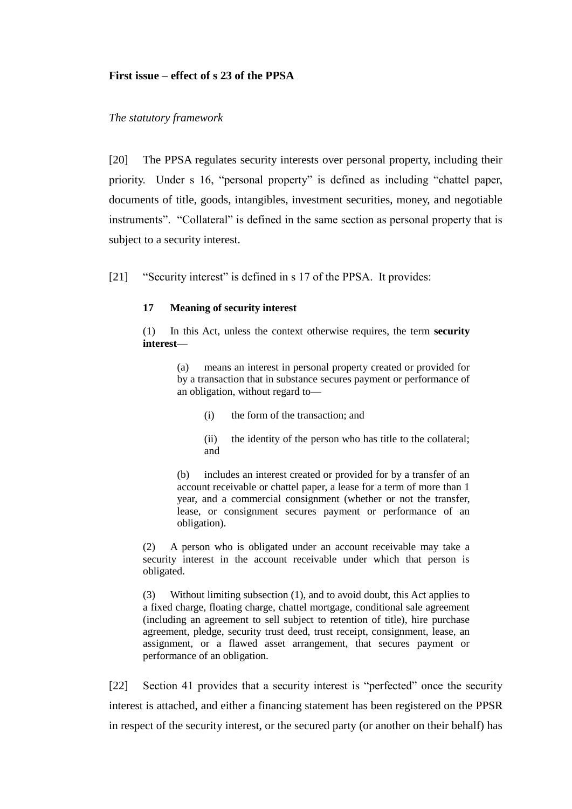### **First issue – effect of s 23 of the PPSA**

### *The statutory framework*

<span id="page-7-0"></span>[20] The PPSA regulates security interests over personal property, including their priority. Under s 16, "personal property" is defined as including "chattel paper, documents of title, goods, intangibles, investment securities, money, and negotiable instruments". "Collateral" is defined in the same section as personal property that is subject to a security interest.

[21] "Security interest" is defined in s 17 of the PPSA. It provides:

### **17 Meaning of security interest**

(1) In this Act, unless the context otherwise requires, the term **security interest**—

> (a) means an interest in personal property created or provided for by a transaction that in substance secures payment or performance of an obligation, without regard to—

(i) the form of the transaction; and

(ii) the identity of the person who has title to the collateral; and

(b) includes an interest created or provided for by a transfer of an account receivable or chattel paper, a lease for a term of more than 1 year, and a commercial consignment (whether or not the transfer, lease, or consignment secures payment or performance of an obligation).

(2) A person who is obligated under an account receivable may take a security interest in the account receivable under which that person is obligated.

(3) Without limiting subsection (1), and to avoid doubt, this Act applies to a fixed charge, floating charge, chattel mortgage, conditional sale agreement (including an agreement to sell subject to retention of title), hire purchase agreement, pledge, security trust deed, trust receipt, consignment, lease, an assignment, or a flawed asset arrangement, that secures payment or performance of an obligation.

[22] Section 41 provides that a security interest is "perfected" once the security interest is attached, and either a financing statement has been registered on the PPSR in respect of the security interest, or the secured party (or another on their behalf) has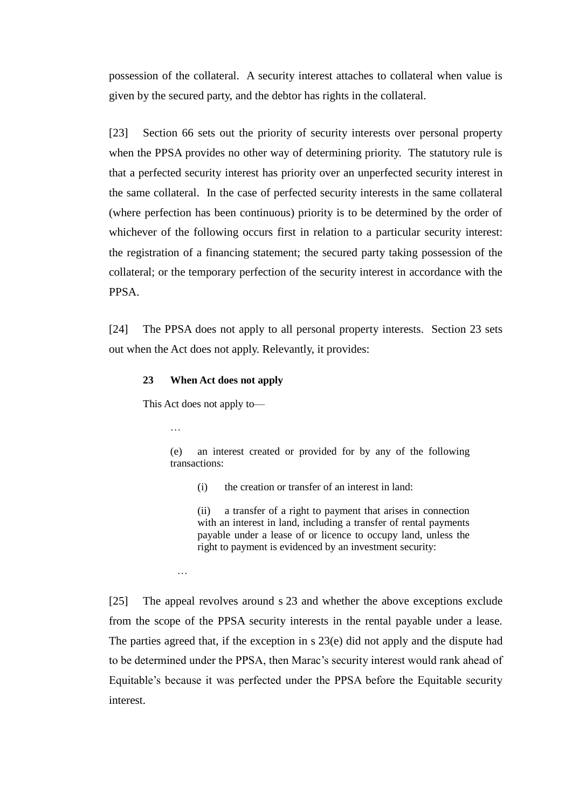possession of the collateral. A security interest attaches to collateral when value is given by the secured party, and the debtor has rights in the collateral.

[23] Section 66 sets out the priority of security interests over personal property when the PPSA provides no other way of determining priority. The statutory rule is that a perfected security interest has priority over an unperfected security interest in the same collateral. In the case of perfected security interests in the same collateral (where perfection has been continuous) priority is to be determined by the order of whichever of the following occurs first in relation to a particular security interest: the registration of a financing statement; the secured party taking possession of the collateral; or the temporary perfection of the security interest in accordance with the PPSA.

[24] The PPSA does not apply to all personal property interests. Section 23 sets out when the Act does not apply. Relevantly, it provides:

#### **23 When Act does not apply**

This Act does not apply to—

…

…

(e) an interest created or provided for by any of the following transactions:

(i) the creation or transfer of an interest in land:

(ii) a transfer of a right to payment that arises in connection with an interest in land, including a transfer of rental payments payable under a lease of or licence to occupy land, unless the right to payment is evidenced by an investment security:

[25] The appeal revolves around s 23 and whether the above exceptions exclude from the scope of the PPSA security interests in the rental payable under a lease. The parties agreed that, if the exception in s 23(e) did not apply and the dispute had to be determined under the PPSA, then Marac's security interest would rank ahead of Equitable's because it was perfected under the PPSA before the Equitable security interest.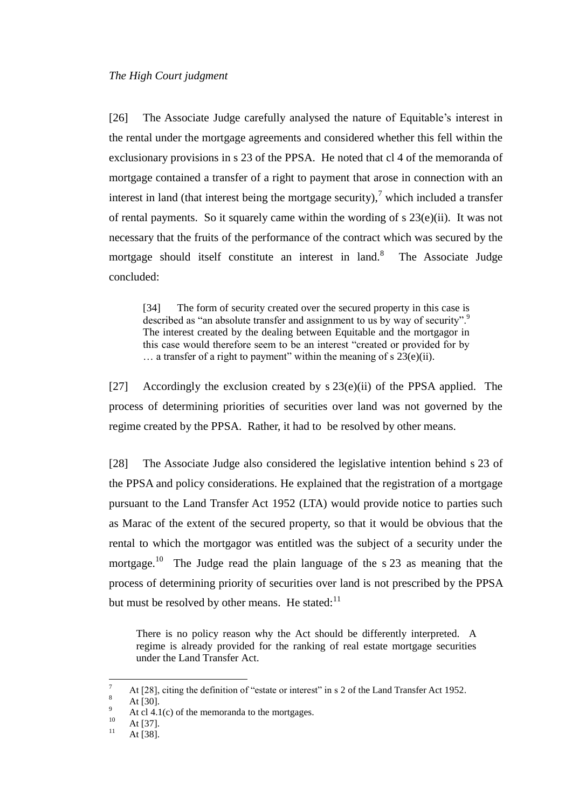<span id="page-9-0"></span>[26] The Associate Judge carefully analysed the nature of Equitable's interest in the rental under the mortgage agreements and considered whether this fell within the exclusionary provisions in s 23 of the PPSA. He noted that cl 4 of the memoranda of mortgage contained a transfer of a right to payment that arose in connection with an interest in land (that interest being the mortgage security),<sup>7</sup> which included a transfer of rental payments. So it squarely came within the wording of s 23(e)(ii). It was not necessary that the fruits of the performance of the contract which was secured by the mortgage should itself constitute an interest in land.<sup>8</sup> The Associate Judge concluded:

[34] The form of security created over the secured property in this case is described as "an absolute transfer and assignment to us by way of security".<sup>9</sup> The interest created by the dealing between Equitable and the mortgagor in this case would therefore seem to be an interest "created or provided for by  $\ldots$  a transfer of a right to payment" within the meaning of s 23(e)(ii).

[27] Accordingly the exclusion created by  $s$  23(e)(ii) of the PPSA applied. The process of determining priorities of securities over land was not governed by the regime created by the PPSA. Rather, it had to be resolved by other means.

[28] The Associate Judge also considered the legislative intention behind s 23 of the PPSA and policy considerations. He explained that the registration of a mortgage pursuant to the Land Transfer Act 1952 (LTA) would provide notice to parties such as Marac of the extent of the secured property, so that it would be obvious that the rental to which the mortgagor was entitled was the subject of a security under the mortgage.<sup>10</sup> The Judge read the plain language of the s  $23$  as meaning that the process of determining priority of securities over land is not prescribed by the PPSA but must be resolved by other means. He stated: $11$ 

There is no policy reason why the Act should be differently interpreted. A regime is already provided for the ranking of real estate mortgage securities under the Land Transfer Act.

 $\overline{a}$ 

<sup>&</sup>lt;sup>7</sup> At [28], citing the definition of "estate or interest" in s 2 of the Land Transfer Act 1952.

 $\frac{8}{9}$  At [30].

 $^{9}$  At cl 4.1(c) of the memoranda to the mortgages.

 $10$  At [37].

At [38].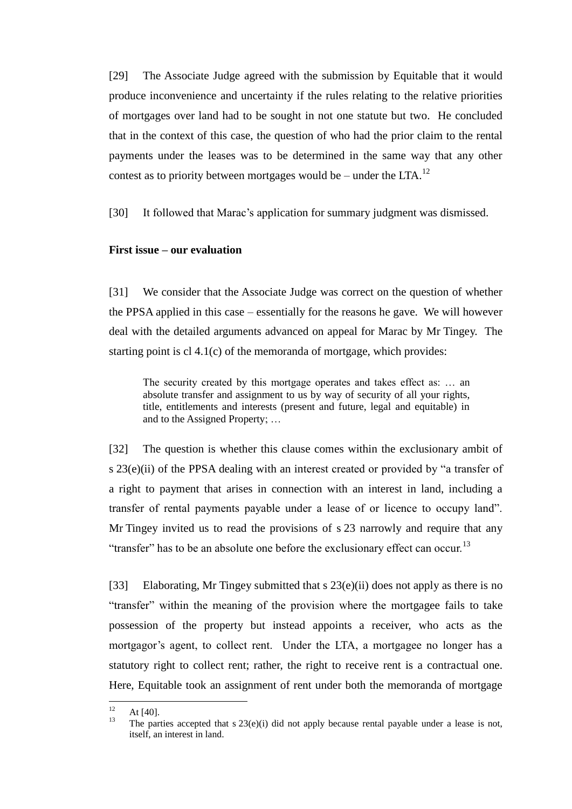[29] The Associate Judge agreed with the submission by Equitable that it would produce inconvenience and uncertainty if the rules relating to the relative priorities of mortgages over land had to be sought in not one statute but two. He concluded that in the context of this case, the question of who had the prior claim to the rental payments under the leases was to be determined in the same way that any other contest as to priority between mortgages would be – under the LTA.<sup>12</sup>

[30] It followed that Marac's application for summary judgment was dismissed.

## **First issue – our evaluation**

<span id="page-10-0"></span>[31] We consider that the Associate Judge was correct on the question of whether the PPSA applied in this case – essentially for the reasons he gave. We will however deal with the detailed arguments advanced on appeal for Marac by Mr Tingey. The starting point is cl 4.1(c) of the memoranda of mortgage, which provides:

The security created by this mortgage operates and takes effect as: … an absolute transfer and assignment to us by way of security of all your rights, title, entitlements and interests (present and future, legal and equitable) in and to the Assigned Property; …

[32] The question is whether this clause comes within the exclusionary ambit of s  $23(e)(ii)$  of the PPSA dealing with an interest created or provided by "a transfer of a right to payment that arises in connection with an interest in land, including a transfer of rental payments payable under a lease of or licence to occupy land". Mr Tingey invited us to read the provisions of s 23 narrowly and require that any "transfer" has to be an absolute one before the exclusionary effect can occur.<sup>13</sup>

[33] Elaborating, Mr Tingey submitted that s  $23(e)(ii)$  does not apply as there is no "transfer" within the meaning of the provision where the mortgagee fails to take possession of the property but instead appoints a receiver, who acts as the mortgagor's agent, to collect rent. Under the LTA, a mortgagee no longer has a statutory right to collect rent; rather, the right to receive rent is a contractual one. Here, Equitable took an assignment of rent under both the memoranda of mortgage

 $12$  $12$  At [40].

The parties accepted that  $s 23(e)(i)$  did not apply because rental payable under a lease is not, itself, an interest in land.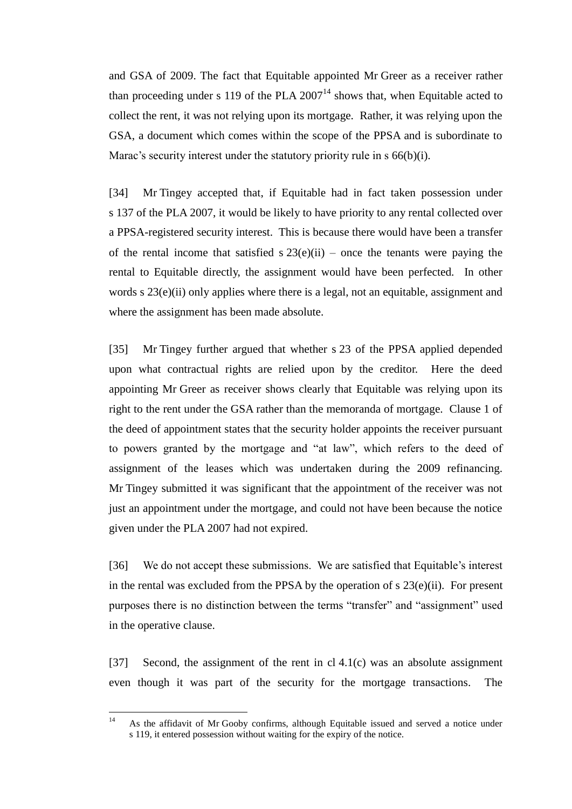and GSA of 2009. The fact that Equitable appointed Mr Greer as a receiver rather than proceeding under s 119 of the PLA  $2007<sup>14</sup>$  shows that, when Equitable acted to collect the rent, it was not relying upon its mortgage. Rather, it was relying upon the GSA, a document which comes within the scope of the PPSA and is subordinate to Marac's security interest under the statutory priority rule in s  $66(b)(i)$ .

[34] Mr Tingey accepted that, if Equitable had in fact taken possession under s 137 of the PLA 2007, it would be likely to have priority to any rental collected over a PPSA-registered security interest. This is because there would have been a transfer of the rental income that satisfied  $s$  23(e)(ii) – once the tenants were paying the rental to Equitable directly, the assignment would have been perfected. In other words s 23(e)(ii) only applies where there is a legal, not an equitable, assignment and where the assignment has been made absolute.

[35] Mr Tingey further argued that whether s 23 of the PPSA applied depended upon what contractual rights are relied upon by the creditor. Here the deed appointing Mr Greer as receiver shows clearly that Equitable was relying upon its right to the rent under the GSA rather than the memoranda of mortgage. Clause 1 of the deed of appointment states that the security holder appoints the receiver pursuant to powers granted by the mortgage and "at law", which refers to the deed of assignment of the leases which was undertaken during the 2009 refinancing. Mr Tingey submitted it was significant that the appointment of the receiver was not just an appointment under the mortgage, and could not have been because the notice given under the PLA 2007 had not expired.

[36] We do not accept these submissions. We are satisfied that Equitable's interest in the rental was excluded from the PPSA by the operation of  $s$  23(e)(ii). For present purposes there is no distinction between the terms "transfer" and "assignment" used in the operative clause.

[37] Second, the assignment of the rent in cl 4.1(c) was an absolute assignment even though it was part of the security for the mortgage transactions. The

 $14$ As the affidavit of Mr Gooby confirms, although Equitable issued and served a notice under s 119, it entered possession without waiting for the expiry of the notice.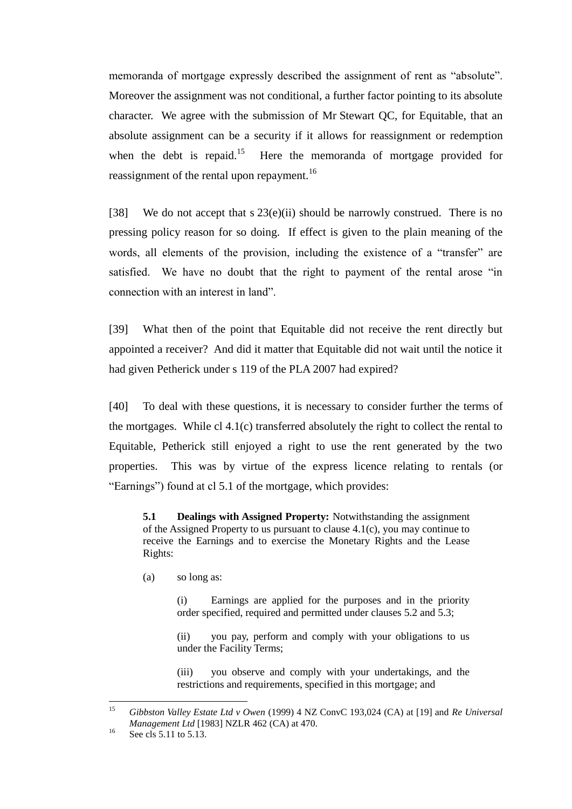memoranda of mortgage expressly described the assignment of rent as "absolute". Moreover the assignment was not conditional, a further factor pointing to its absolute character. We agree with the submission of Mr Stewart QC, for Equitable, that an absolute assignment can be a security if it allows for reassignment or redemption when the debt is repaid.<sup>15</sup> Here the memoranda of mortgage provided for reassignment of the rental upon repayment.<sup>16</sup>

[38] We do not accept that s  $23(e)(ii)$  should be narrowly construed. There is no pressing policy reason for so doing. If effect is given to the plain meaning of the words, all elements of the provision, including the existence of a "transfer" are satisfied. We have no doubt that the right to payment of the rental arose "in connection with an interest in land".

[39] What then of the point that Equitable did not receive the rent directly but appointed a receiver? And did it matter that Equitable did not wait until the notice it had given Petherick under s 119 of the PLA 2007 had expired?

[40] To deal with these questions, it is necessary to consider further the terms of the mortgages. While cl  $4.1(c)$  transferred absolutely the right to collect the rental to Equitable, Petherick still enjoyed a right to use the rent generated by the two properties. This was by virtue of the express licence relating to rentals (or "Earnings") found at cl 5.1 of the mortgage, which provides:

**5.1 Dealings with Assigned Property:** Notwithstanding the assignment of the Assigned Property to us pursuant to clause 4.1(c), you may continue to receive the Earnings and to exercise the Monetary Rights and the Lease Rights:

(a) so long as:

(i) Earnings are applied for the purposes and in the priority order specified, required and permitted under clauses 5.2 and 5.3;

(ii) you pay, perform and comply with your obligations to us under the Facility Terms;

(iii) you observe and comply with your undertakings, and the restrictions and requirements, specified in this mortgage; and

<sup>15</sup> <sup>15</sup> *Gibbston Valley Estate Ltd v Owen* (1999) 4 NZ ConvC 193,024 (CA) at [19] and *Re Universal Management Ltd* [1983] NZLR 462 (CA) at 470.

 $^{16}$  See cls 5.11 to 5.13.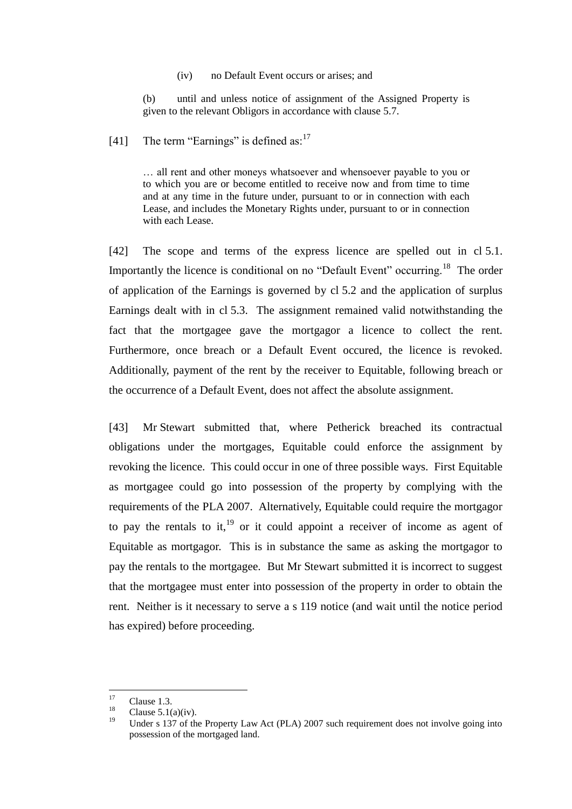(iv) no Default Event occurs or arises; and

(b) until and unless notice of assignment of the Assigned Property is given to the relevant Obligors in accordance with clause 5.7.

[41] The term "Earnings" is defined as: $17$ 

… all rent and other moneys whatsoever and whensoever payable to you or to which you are or become entitled to receive now and from time to time and at any time in the future under, pursuant to or in connection with each Lease, and includes the Monetary Rights under, pursuant to or in connection with each Lease.

[42] The scope and terms of the express licence are spelled out in cl 5.1. Importantly the licence is conditional on no "Default Event" occurring.<sup>18</sup> The order of application of the Earnings is governed by cl 5.2 and the application of surplus Earnings dealt with in cl 5.3. The assignment remained valid notwithstanding the fact that the mortgagee gave the mortgagor a licence to collect the rent. Furthermore, once breach or a Default Event occured, the licence is revoked. Additionally, payment of the rent by the receiver to Equitable, following breach or the occurrence of a Default Event, does not affect the absolute assignment.

[43] Mr Stewart submitted that, where Petherick breached its contractual obligations under the mortgages, Equitable could enforce the assignment by revoking the licence. This could occur in one of three possible ways. First Equitable as mortgagee could go into possession of the property by complying with the requirements of the PLA 2007. Alternatively, Equitable could require the mortgagor to pay the rentals to it,  $19$  or it could appoint a receiver of income as agent of Equitable as mortgagor. This is in substance the same as asking the mortgagor to pay the rentals to the mortgagee. But Mr Stewart submitted it is incorrect to suggest that the mortgagee must enter into possession of the property in order to obtain the rent. Neither is it necessary to serve a s 119 notice (and wait until the notice period has expired) before proceeding.

 $17$  $\frac{17}{18}$  Clause 1.3.

<sup>&</sup>lt;sup>18</sup> Clause 5.1(a)(iv).

Under s 137 of the Property Law Act (PLA) 2007 such requirement does not involve going into possession of the mortgaged land.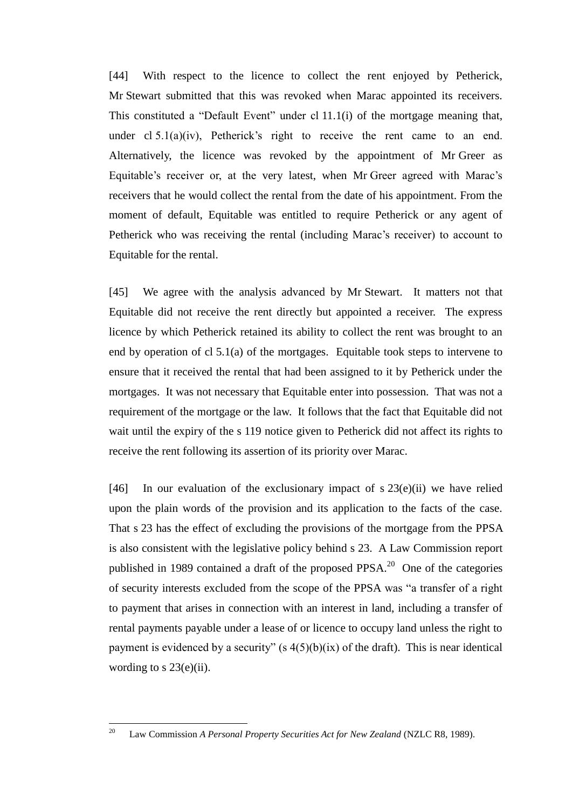[44] With respect to the licence to collect the rent enjoyed by Petherick, Mr Stewart submitted that this was revoked when Marac appointed its receivers. This constituted a "Default Event" under cl  $11.1(i)$  of the mortgage meaning that, under cl 5.1(a)(iv), Petherick's right to receive the rent came to an end. Alternatively, the licence was revoked by the appointment of Mr Greer as Equitable's receiver or, at the very latest, when Mr Greer agreed with Marac's receivers that he would collect the rental from the date of his appointment. From the moment of default, Equitable was entitled to require Petherick or any agent of Petherick who was receiving the rental (including Marac's receiver) to account to Equitable for the rental.

[45] We agree with the analysis advanced by Mr Stewart. It matters not that Equitable did not receive the rent directly but appointed a receiver. The express licence by which Petherick retained its ability to collect the rent was brought to an end by operation of cl 5.1(a) of the mortgages. Equitable took steps to intervene to ensure that it received the rental that had been assigned to it by Petherick under the mortgages. It was not necessary that Equitable enter into possession. That was not a requirement of the mortgage or the law. It follows that the fact that Equitable did not wait until the expiry of the s 119 notice given to Petherick did not affect its rights to receive the rent following its assertion of its priority over Marac.

[46] In our evaluation of the exclusionary impact of s  $23(e)(ii)$  we have relied upon the plain words of the provision and its application to the facts of the case. That s 23 has the effect of excluding the provisions of the mortgage from the PPSA is also consistent with the legislative policy behind s 23. A Law Commission report published in 1989 contained a draft of the proposed PPSA.<sup>20</sup> One of the categories of security interests excluded from the scope of the PPSA was "a transfer of a right to payment that arises in connection with an interest in land, including a transfer of rental payments payable under a lease of or licence to occupy land unless the right to payment is evidenced by a security"  $(s 4(5)(b)(ix)$  of the draft). This is near identical wording to s  $23(e)(ii)$ .

<sup>20</sup> Law Commission *A Personal Property Securities Act for New Zealand* (NZLC R8, 1989).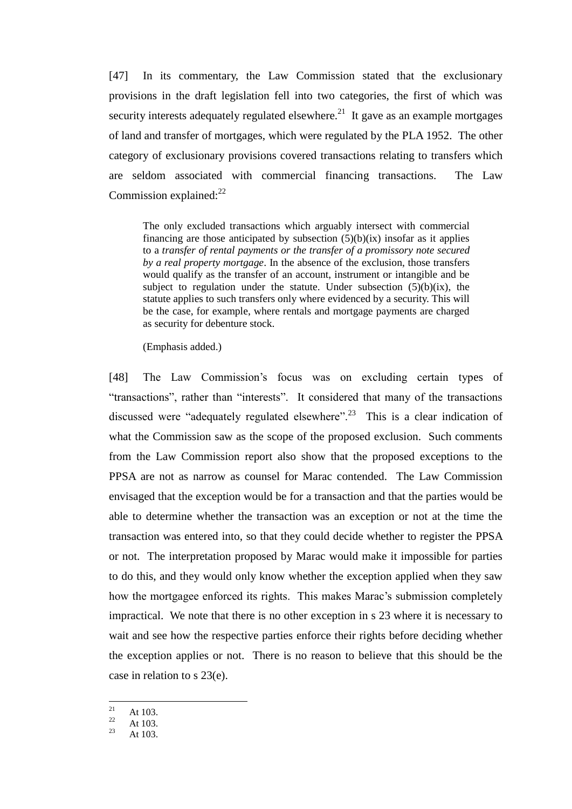[47] In its commentary, the Law Commission stated that the exclusionary provisions in the draft legislation fell into two categories, the first of which was security interests adequately regulated elsewhere. $^{21}$  It gave as an example mortgages of land and transfer of mortgages, which were regulated by the PLA 1952. The other category of exclusionary provisions covered transactions relating to transfers which are seldom associated with commercial financing transactions. The Law Commission explained: $22$ 

The only excluded transactions which arguably intersect with commercial financing are those anticipated by subsection  $(5)(b)(ix)$  insofar as it applies to a *transfer of rental payments or the transfer of a promissory note secured by a real property mortgage*. In the absence of the exclusion, those transfers would qualify as the transfer of an account, instrument or intangible and be subject to regulation under the statute. Under subsection  $(5)(b)(ix)$ , the statute applies to such transfers only where evidenced by a security. This will be the case, for example, where rentals and mortgage payments are charged as security for debenture stock.

(Emphasis added.)

[48] The Law Commission's focus was on excluding certain types of "transactions", rather than "interests". It considered that many of the transactions" discussed were "adequately regulated elsewhere".<sup>23</sup> This is a clear indication of what the Commission saw as the scope of the proposed exclusion. Such comments from the Law Commission report also show that the proposed exceptions to the PPSA are not as narrow as counsel for Marac contended. The Law Commission envisaged that the exception would be for a transaction and that the parties would be able to determine whether the transaction was an exception or not at the time the transaction was entered into, so that they could decide whether to register the PPSA or not. The interpretation proposed by Marac would make it impossible for parties to do this, and they would only know whether the exception applied when they saw how the mortgagee enforced its rights. This makes Marac's submission completely impractical. We note that there is no other exception in s 23 where it is necessary to wait and see how the respective parties enforce their rights before deciding whether the exception applies or not. There is no reason to believe that this should be the case in relation to s 23(e).

 $21\,$  $\frac{21}{22}$  At 103.

 $\frac{22}{23}$  At 103.

At 103.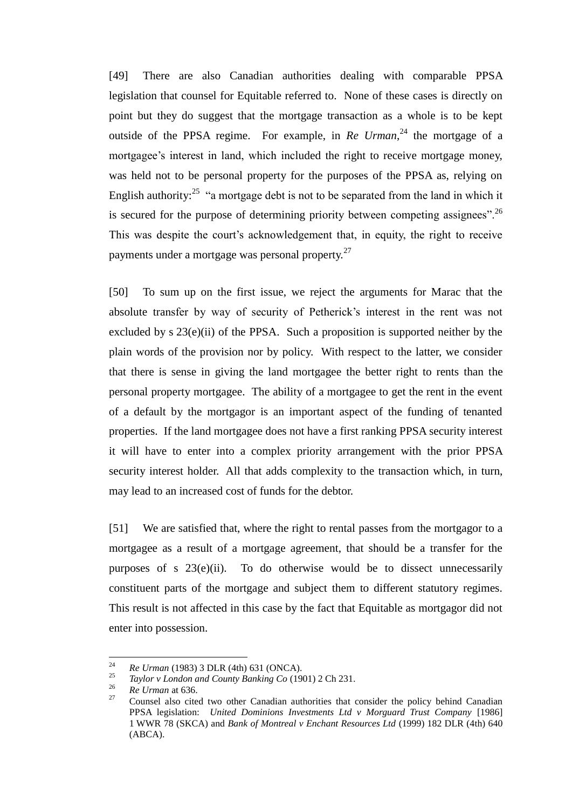[49] There are also Canadian authorities dealing with comparable PPSA legislation that counsel for Equitable referred to. None of these cases is directly on point but they do suggest that the mortgage transaction as a whole is to be kept outside of the PPSA regime. For example, in *Re Urman*<sup>24</sup> the mortgage of a mortgagee's interest in land, which included the right to receive mortgage money, was held not to be personal property for the purposes of the PPSA as, relying on English authority:<sup>25</sup> "a mortgage debt is not to be separated from the land in which it is secured for the purpose of determining priority between competing assignees".<sup>26</sup> This was despite the court's acknowledgement that, in equity, the right to receive payments under a mortgage was personal property.<sup>27</sup>

[50] To sum up on the first issue, we reject the arguments for Marac that the absolute transfer by way of security of Petherick's interest in the rent was not excluded by s 23(e)(ii) of the PPSA. Such a proposition is supported neither by the plain words of the provision nor by policy. With respect to the latter, we consider that there is sense in giving the land mortgagee the better right to rents than the personal property mortgagee. The ability of a mortgagee to get the rent in the event of a default by the mortgagor is an important aspect of the funding of tenanted properties. If the land mortgagee does not have a first ranking PPSA security interest it will have to enter into a complex priority arrangement with the prior PPSA security interest holder. All that adds complexity to the transaction which, in turn, may lead to an increased cost of funds for the debtor.

[51] We are satisfied that, where the right to rental passes from the mortgagor to a mortgagee as a result of a mortgage agreement, that should be a transfer for the purposes of s 23(e)(ii). To do otherwise would be to dissect unnecessarily constituent parts of the mortgage and subject them to different statutory regimes. This result is not affected in this case by the fact that Equitable as mortgagor did not enter into possession.

<sup>24</sup> <sup>24</sup> *Re Urman* (1983) 3 DLR (4th) 631 (ONCA).

<sup>25</sup> *Taylor v London and County Banking Co* (1901) 2 Ch 231.

 $\frac{26}{27}$  *Re Urman* at 636.

<sup>27</sup> Counsel also cited two other Canadian authorities that consider the policy behind Canadian PPSA legislation: *United Dominions Investments Ltd v Morguard Trust Company* [1986] 1 WWR 78 (SKCA) and *Bank of Montreal v Enchant Resources Ltd* (1999) 182 DLR (4th) 640 (ABCA).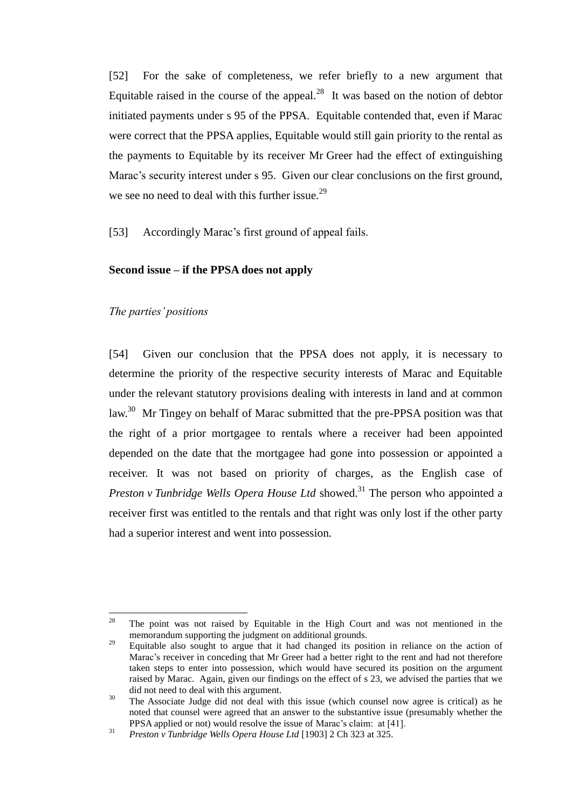[52] For the sake of completeness, we refer briefly to a new argument that Equitable raised in the course of the appeal. $^{28}$  It was based on the notion of debtor initiated payments under s 95 of the PPSA. Equitable contended that, even if Marac were correct that the PPSA applies, Equitable would still gain priority to the rental as the payments to Equitable by its receiver Mr Greer had the effect of extinguishing Marac's security interest under s 95. Given our clear conclusions on the first ground, we see no need to deal with this further issue.<sup>29</sup>

[53] Accordingly Marac's first ground of appeal fails.

### **Second issue – if the PPSA does not apply**

### *The parties' positions*

<span id="page-17-0"></span>[54] Given our conclusion that the PPSA does not apply, it is necessary to determine the priority of the respective security interests of Marac and Equitable under the relevant statutory provisions dealing with interests in land and at common law.<sup>30</sup> Mr Tingey on behalf of Marac submitted that the pre-PPSA position was that the right of a prior mortgagee to rentals where a receiver had been appointed depended on the date that the mortgagee had gone into possession or appointed a receiver. It was not based on priority of charges, as the English case of *Preston v Tunbridge Wells Opera House Ltd* showed. <sup>31</sup> The person who appointed a receiver first was entitled to the rentals and that right was only lost if the other party had a superior interest and went into possession.

<sup>28</sup> <sup>28</sup> The point was not raised by Equitable in the High Court and was not mentioned in the memorandum supporting the judgment on additional grounds.

<sup>&</sup>lt;sup>29</sup> Equitable also sought to argue that it had changed its position in reliance on the action of Marac's receiver in conceding that Mr Greer had a better right to the rent and had not therefore taken steps to enter into possession, which would have secured its position on the argument raised by Marac. Again, given our findings on the effect of s 23, we advised the parties that we did not need to deal with this argument.

 $30$  The Associate Judge did not deal with this issue (which counsel now agree is critical) as he noted that counsel were agreed that an answer to the substantive issue (presumably whether the PPSA applied or not) would resolve the issue of Marac's claim: at [41].

<sup>31</sup> *Preston v Tunbridge Wells Opera House Ltd* [1903] 2 Ch 323 at 325.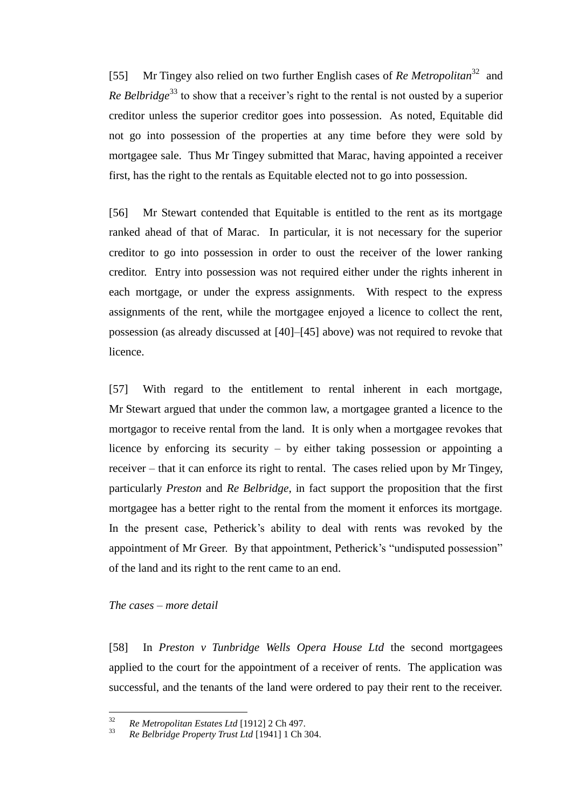[55] Mr Tingey also relied on two further English cases of *Re Metropolitan*<sup>32</sup> and *Re Belbridge*<sup>33</sup> to show that a receiver's right to the rental is not ousted by a superior creditor unless the superior creditor goes into possession. As noted, Equitable did not go into possession of the properties at any time before they were sold by mortgagee sale. Thus Mr Tingey submitted that Marac, having appointed a receiver first, has the right to the rentals as Equitable elected not to go into possession.

[56] Mr Stewart contended that Equitable is entitled to the rent as its mortgage ranked ahead of that of Marac. In particular, it is not necessary for the superior creditor to go into possession in order to oust the receiver of the lower ranking creditor. Entry into possession was not required either under the rights inherent in each mortgage, or under the express assignments. With respect to the express assignments of the rent, while the mortgagee enjoyed a licence to collect the rent, possession (as already discussed at [40]–[45] above) was not required to revoke that licence.

[57] With regard to the entitlement to rental inherent in each mortgage, Mr Stewart argued that under the common law, a mortgagee granted a licence to the mortgagor to receive rental from the land. It is only when a mortgagee revokes that licence by enforcing its security – by either taking possession or appointing a receiver – that it can enforce its right to rental. The cases relied upon by Mr Tingey, particularly *Preston* and *Re Belbridge*, in fact support the proposition that the first mortgagee has a better right to the rental from the moment it enforces its mortgage. In the present case, Petherick's ability to deal with rents was revoked by the appointment of Mr Greer. By that appointment, Petherick's "undisputed possession" of the land and its right to the rent came to an end.

### *The cases – more detail*

<span id="page-18-0"></span>[58] In *Preston v Tunbridge Wells Opera House Ltd* the second mortgagees applied to the court for the appointment of a receiver of rents. The application was successful, and the tenants of the land were ordered to pay their rent to the receiver.

<sup>32</sup> <sup>32</sup> *Re Metropolitan Estates Ltd* [1912] 2 Ch 497.

<sup>33</sup> *Re Belbridge Property Trust Ltd* [1941] 1 Ch 304.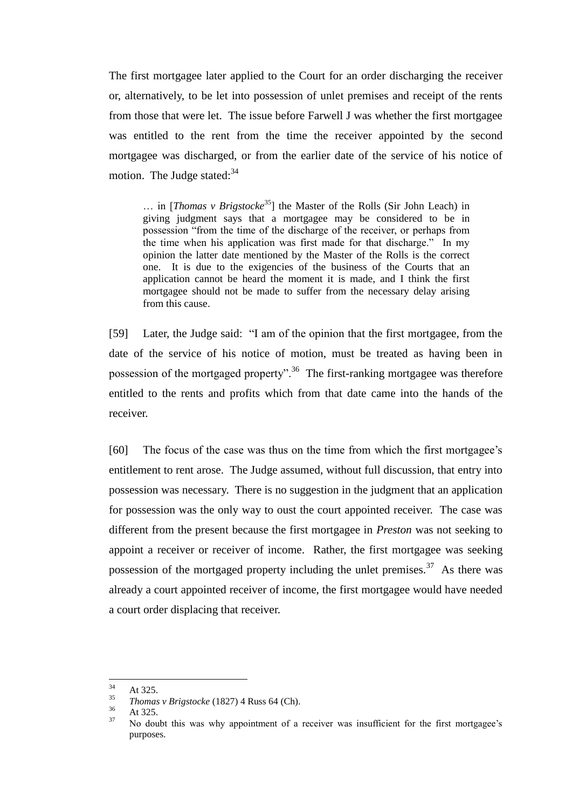The first mortgagee later applied to the Court for an order discharging the receiver or, alternatively, to be let into possession of unlet premises and receipt of the rents from those that were let. The issue before Farwell J was whether the first mortgagee was entitled to the rent from the time the receiver appointed by the second mortgagee was discharged, or from the earlier date of the service of his notice of motion. The Judge stated: $34$ 

... in [*Thomas v Brigstocke*<sup>35</sup>] the Master of the Rolls (Sir John Leach) in giving judgment says that a mortgagee may be considered to be in possession "from the time of the discharge of the receiver, or perhaps from the time when his application was first made for that discharge." In my opinion the latter date mentioned by the Master of the Rolls is the correct one. It is due to the exigencies of the business of the Courts that an application cannot be heard the moment it is made, and I think the first mortgagee should not be made to suffer from the necessary delay arising from this cause.

[59] Later, the Judge said: "I am of the opinion that the first mortgagee, from the date of the service of his notice of motion, must be treated as having been in possession of the mortgaged property".<sup>36</sup> The first-ranking mortgagee was therefore entitled to the rents and profits which from that date came into the hands of the receiver.

[60] The focus of the case was thus on the time from which the first mortgagee's entitlement to rent arose. The Judge assumed, without full discussion, that entry into possession was necessary. There is no suggestion in the judgment that an application for possession was the only way to oust the court appointed receiver. The case was different from the present because the first mortgagee in *Preston* was not seeking to appoint a receiver or receiver of income. Rather, the first mortgagee was seeking possession of the mortgaged property including the unlet premises.<sup>37</sup> As there was already a court appointed receiver of income, the first mortgagee would have needed a court order displacing that receiver.

<sup>34</sup>  $\frac{34}{35}$  At 325.

<sup>&</sup>lt;sup>35</sup> *Thomas v Brigstocke* (1827) 4 Russ 64 (Ch).

 $\frac{36}{37}$  At 325.

<sup>37</sup> No doubt this was why appointment of a receiver was insufficient for the first mortgagee's purposes.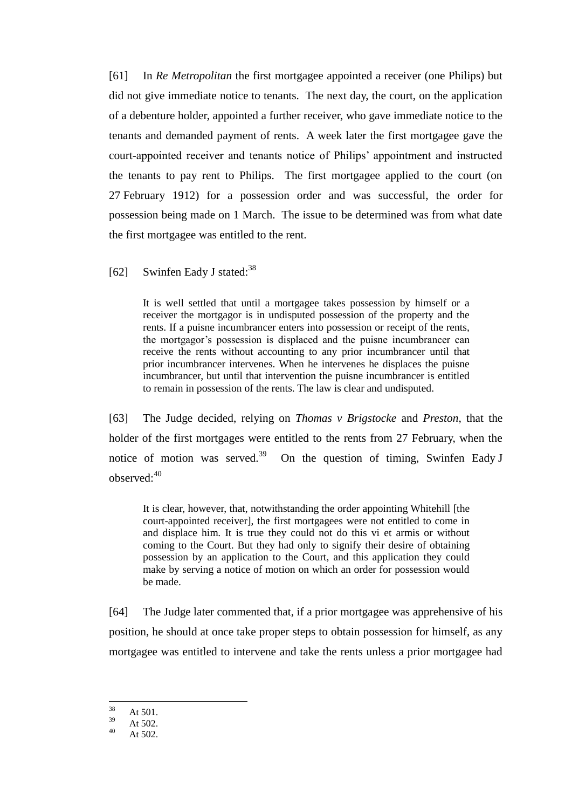[61] In *Re Metropolitan* the first mortgagee appointed a receiver (one Philips) but did not give immediate notice to tenants. The next day, the court, on the application of a debenture holder, appointed a further receiver, who gave immediate notice to the tenants and demanded payment of rents. A week later the first mortgagee gave the court-appointed receiver and tenants notice of Philips' appointment and instructed the tenants to pay rent to Philips. The first mortgagee applied to the court (on 27 February 1912) for a possession order and was successful, the order for possession being made on 1 March. The issue to be determined was from what date the first mortgagee was entitled to the rent.

[62] Swinfen Eady J stated:<sup>38</sup>

It is well settled that until a mortgagee takes possession by himself or a receiver the mortgagor is in undisputed possession of the property and the rents. If a puisne incumbrancer enters into possession or receipt of the rents, the mortgagor's possession is displaced and the puisne incumbrancer can receive the rents without accounting to any prior incumbrancer until that prior incumbrancer intervenes. When he intervenes he displaces the puisne incumbrancer, but until that intervention the puisne incumbrancer is entitled to remain in possession of the rents. The law is clear and undisputed.

[63] The Judge decided, relying on *Thomas v Brigstocke* and *Preston*, that the holder of the first mortgages were entitled to the rents from 27 February, when the notice of motion was served.<sup>39</sup> On the question of timing, Swinfen Eady J observed:<sup>40</sup>

It is clear, however, that, notwithstanding the order appointing Whitehill [the court-appointed receiver], the first mortgagees were not entitled to come in and displace him. It is true they could not do this vi et armis or without coming to the Court. But they had only to signify their desire of obtaining possession by an application to the Court, and this application they could make by serving a notice of motion on which an order for possession would be made.

[64] The Judge later commented that, if a prior mortgagee was apprehensive of his position, he should at once take proper steps to obtain possession for himself, as any mortgagee was entitled to intervene and take the rents unless a prior mortgagee had

<sup>38</sup>  $\frac{38}{39}$  At 501.

 $\frac{39}{40}$  At 502.

At  $502.$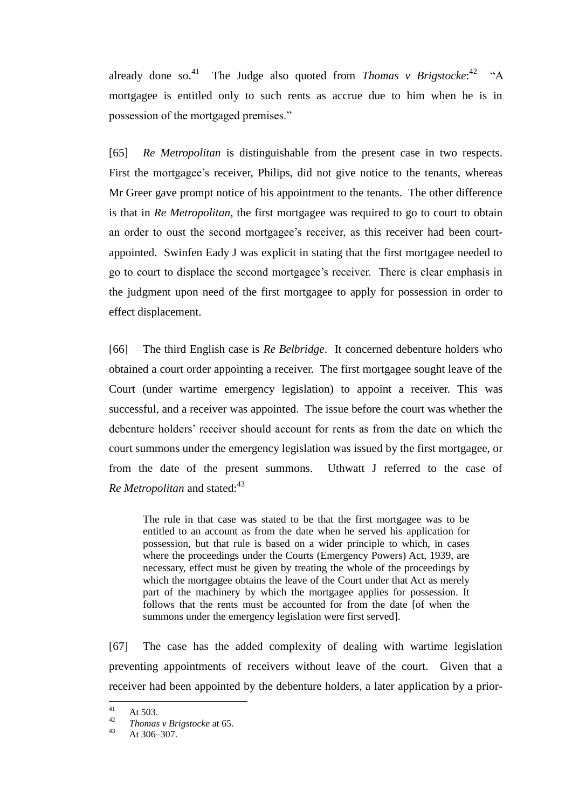already done so.<sup>41</sup> The Judge also quoted from *Thomas v Brigstocke*:<sup>42</sup> "A mortgagee is entitled only to such rents as accrue due to him when he is in possession of the mortgaged premises."

[65] *Re Metropolitan* is distinguishable from the present case in two respects. First the mortgagee's receiver, Philips, did not give notice to the tenants, whereas Mr Greer gave prompt notice of his appointment to the tenants. The other difference is that in *Re Metropolitan*, the first mortgagee was required to go to court to obtain an order to oust the second mortgagee's receiver, as this receiver had been courtappointed. Swinfen Eady J was explicit in stating that the first mortgagee needed to go to court to displace the second mortgagee's receiver. There is clear emphasis in the judgment upon need of the first mortgagee to apply for possession in order to effect displacement.

[66] The third English case is *Re Belbridge*. It concerned debenture holders who obtained a court order appointing a receiver. The first mortgagee sought leave of the Court (under wartime emergency legislation) to appoint a receiver. This was successful, and a receiver was appointed. The issue before the court was whether the debenture holders' receiver should account for rents as from the date on which the court summons under the emergency legislation was issued by the first mortgagee, or from the date of the present summons. Uthwatt J referred to the case of *Re Metropolitan* and stated:<sup>43</sup>

The rule in that case was stated to be that the first mortgagee was to be entitled to an account as from the date when he served his application for possession, but that rule is based on a wider principle to which, in cases where the proceedings under the Courts (Emergency Powers) Act, 1939, are necessary, effect must be given by treating the whole of the proceedings by which the mortgagee obtains the leave of the Court under that Act as merely part of the machinery by which the mortgagee applies for possession. It follows that the rents must be accounted for from the date [of when the summons under the emergency legislation were first served].

[67] The case has the added complexity of dealing with wartime legislation preventing appointments of receivers without leave of the court. Given that a receiver had been appointed by the debenture holders, a later application by a prior-

 $41$  $41$  At 503.

<sup>&</sup>lt;sup>42</sup> *Thomas v Brigstocke* at 65.<br> $43$   $41306, 307$ 

At 306–307.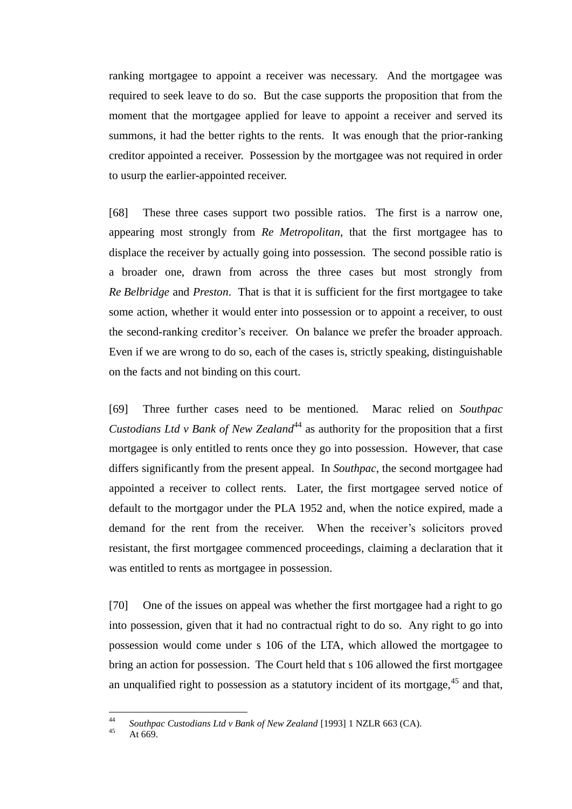ranking mortgagee to appoint a receiver was necessary. And the mortgagee was required to seek leave to do so. But the case supports the proposition that from the moment that the mortgagee applied for leave to appoint a receiver and served its summons, it had the better rights to the rents. It was enough that the prior-ranking creditor appointed a receiver. Possession by the mortgagee was not required in order to usurp the earlier-appointed receiver.

[68] These three cases support two possible ratios. The first is a narrow one, appearing most strongly from *Re Metropolitan*, that the first mortgagee has to displace the receiver by actually going into possession. The second possible ratio is a broader one, drawn from across the three cases but most strongly from *Re Belbridge* and *Preston*. That is that it is sufficient for the first mortgagee to take some action, whether it would enter into possession or to appoint a receiver, to oust the second-ranking creditor's receiver. On balance we prefer the broader approach. Even if we are wrong to do so, each of the cases is, strictly speaking, distinguishable on the facts and not binding on this court.

[69] Three further cases need to be mentioned. Marac relied on *Southpac Custodians Ltd v Bank of New Zealand*<sup>44</sup> as authority for the proposition that a first mortgagee is only entitled to rents once they go into possession. However, that case differs significantly from the present appeal. In *Southpac*, the second mortgagee had appointed a receiver to collect rents. Later, the first mortgagee served notice of default to the mortgagor under the PLA 1952 and, when the notice expired, made a demand for the rent from the receiver. When the receiver's solicitors proved resistant, the first mortgagee commenced proceedings, claiming a declaration that it was entitled to rents as mortgagee in possession.

[70] One of the issues on appeal was whether the first mortgagee had a right to go into possession, given that it had no contractual right to do so. Any right to go into possession would come under s 106 of the LTA, which allowed the mortgagee to bring an action for possession. The Court held that s 106 allowed the first mortgagee an unqualified right to possession as a statutory incident of its mortgage, $45$  and that,

 $\overline{44}$ <sup>44</sup> *Southpac Custodians Ltd v Bank of New Zealand* [1993] 1 NZLR 663 (CA).

At 669.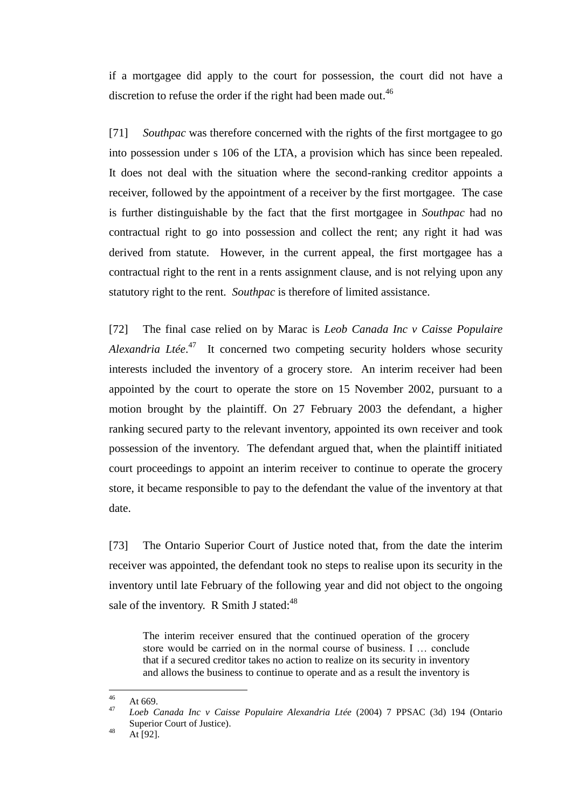if a mortgagee did apply to the court for possession, the court did not have a discretion to refuse the order if the right had been made out.<sup>46</sup>

[71] *Southpac* was therefore concerned with the rights of the first mortgagee to go into possession under s 106 of the LTA, a provision which has since been repealed. It does not deal with the situation where the second-ranking creditor appoints a receiver, followed by the appointment of a receiver by the first mortgagee. The case is further distinguishable by the fact that the first mortgagee in *Southpac* had no contractual right to go into possession and collect the rent; any right it had was derived from statute. However, in the current appeal, the first mortgagee has a contractual right to the rent in a rents assignment clause, and is not relying upon any statutory right to the rent. *Southpac* is therefore of limited assistance.

[72] The final case relied on by Marac is *Leob Canada Inc v Caisse Populaire*  Alexandria Ltée.<sup>47</sup> It concerned two competing security holders whose security interests included the inventory of a grocery store. An interim receiver had been appointed by the court to operate the store on 15 November 2002, pursuant to a motion brought by the plaintiff. On 27 February 2003 the defendant, a higher ranking secured party to the relevant inventory, appointed its own receiver and took possession of the inventory. The defendant argued that, when the plaintiff initiated court proceedings to appoint an interim receiver to continue to operate the grocery store, it became responsible to pay to the defendant the value of the inventory at that date.

[73] The Ontario Superior Court of Justice noted that, from the date the interim receiver was appointed, the defendant took no steps to realise upon its security in the inventory until late February of the following year and did not object to the ongoing sale of the inventory. R Smith J stated: $48$ 

The interim receiver ensured that the continued operation of the grocery store would be carried on in the normal course of business. I … conclude that if a secured creditor takes no action to realize on its security in inventory and allows the business to continue to operate and as a result the inventory is

<sup>46</sup>  $46$  At 669.

<sup>47</sup> *Loeb Canada Inc v Caisse Populaire Alexandria Ltée* (2004) 7 PPSAC (3d) 194 (Ontario Superior Court of Justice).

 $48$  At [92].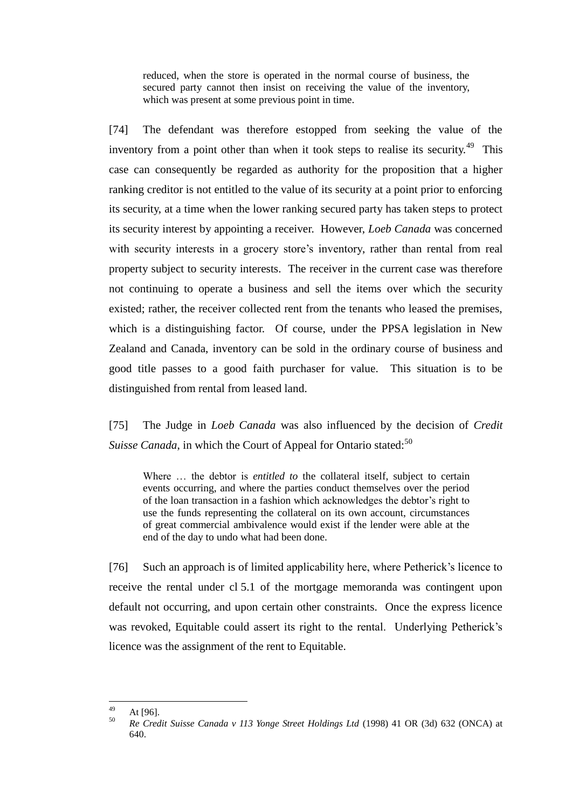reduced, when the store is operated in the normal course of business, the secured party cannot then insist on receiving the value of the inventory, which was present at some previous point in time.

[74] The defendant was therefore estopped from seeking the value of the inventory from a point other than when it took steps to realise its security.<sup>49</sup> This case can consequently be regarded as authority for the proposition that a higher ranking creditor is not entitled to the value of its security at a point prior to enforcing its security, at a time when the lower ranking secured party has taken steps to protect its security interest by appointing a receiver. However, *Loeb Canada* was concerned with security interests in a grocery store's inventory, rather than rental from real property subject to security interests. The receiver in the current case was therefore not continuing to operate a business and sell the items over which the security existed; rather, the receiver collected rent from the tenants who leased the premises, which is a distinguishing factor. Of course, under the PPSA legislation in New Zealand and Canada, inventory can be sold in the ordinary course of business and good title passes to a good faith purchaser for value. This situation is to be distinguished from rental from leased land.

[75] The Judge in *Loeb Canada* was also influenced by the decision of *Credit Suisse Canada*, in which the Court of Appeal for Ontario stated:<sup>50</sup>

Where ... the debtor is *entitled to* the collateral itself, subject to certain events occurring, and where the parties conduct themselves over the period of the loan transaction in a fashion which acknowledges the debtor's right to use the funds representing the collateral on its own account, circumstances of great commercial ambivalence would exist if the lender were able at the end of the day to undo what had been done.

[76] Such an approach is of limited applicability here, where Petherick's licence to receive the rental under cl 5.1 of the mortgage memoranda was contingent upon default not occurring, and upon certain other constraints. Once the express licence was revoked, Equitable could assert its right to the rental. Underlying Petherick's licence was the assignment of the rent to Equitable.

<sup>49</sup>  $49$  At [96].

<sup>50</sup> *Re Credit Suisse Canada v 113 Yonge Street Holdings Ltd* (1998) 41 OR (3d) 632 (ONCA) at 640.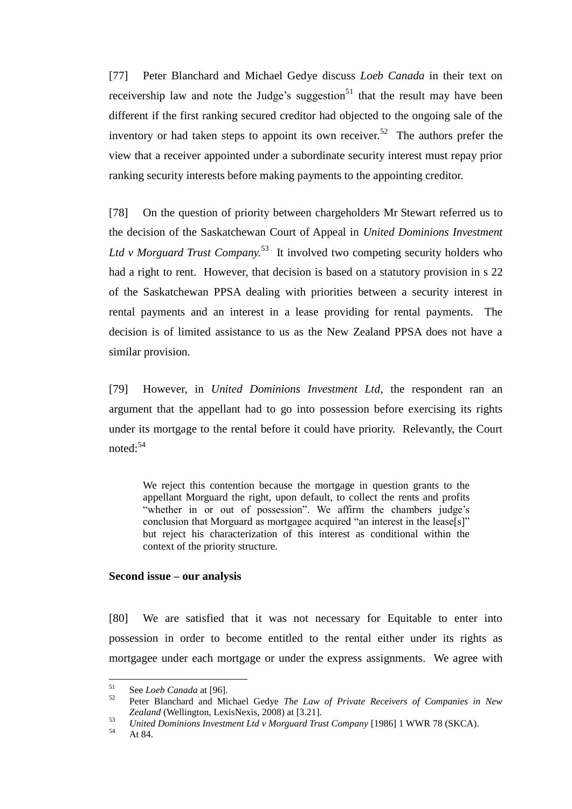[77] Peter Blanchard and Michael Gedye discuss *Loeb Canada* in their text on receivership law and note the Judge's suggestion<sup>51</sup> that the result may have been different if the first ranking secured creditor had objected to the ongoing sale of the inventory or had taken steps to appoint its own receiver.<sup>52</sup> The authors prefer the view that a receiver appointed under a subordinate security interest must repay prior ranking security interests before making payments to the appointing creditor.

[78] On the question of priority between chargeholders Mr Stewart referred us to the decision of the Saskatchewan Court of Appeal in *United Dominions Investment*  Ltd v Morguard Trust Company.<sup>53</sup> It involved two competing security holders who had a right to rent. However, that decision is based on a statutory provision in s 22 of the Saskatchewan PPSA dealing with priorities between a security interest in rental payments and an interest in a lease providing for rental payments. The decision is of limited assistance to us as the New Zealand PPSA does not have a similar provision.

[79] However, in *United Dominions Investment Ltd*, the respondent ran an argument that the appellant had to go into possession before exercising its rights under its mortgage to the rental before it could have priority. Relevantly, the Court noted: $54$ 

We reject this contention because the mortgage in question grants to the appellant Morguard the right, upon default, to collect the rents and profits "whether in or out of possession". We affirm the chambers judge's conclusion that Morguard as mortgagee acquired "an interest in the lease[s]" but reject his characterization of this interest as conditional within the context of the priority structure.

#### **Second issue – our analysis**

<span id="page-25-0"></span>[80] We are satisfied that it was not necessary for Equitable to enter into possession in order to become entitled to the rental either under its rights as mortgagee under each mortgage or under the express assignments. We agree with

 $51$  $51$  See *Loeb Canada* at [96].

<sup>52</sup> Peter Blanchard and Michael Gedye *The Law of Private Receivers of Companies in New Zealand* (Wellington, LexisNexis, 2008) at [3.21].

<sup>53</sup> *United Dominions Investment Ltd v Morguard Trust Company* [1986] 1 WWR 78 (SKCA).

At 84.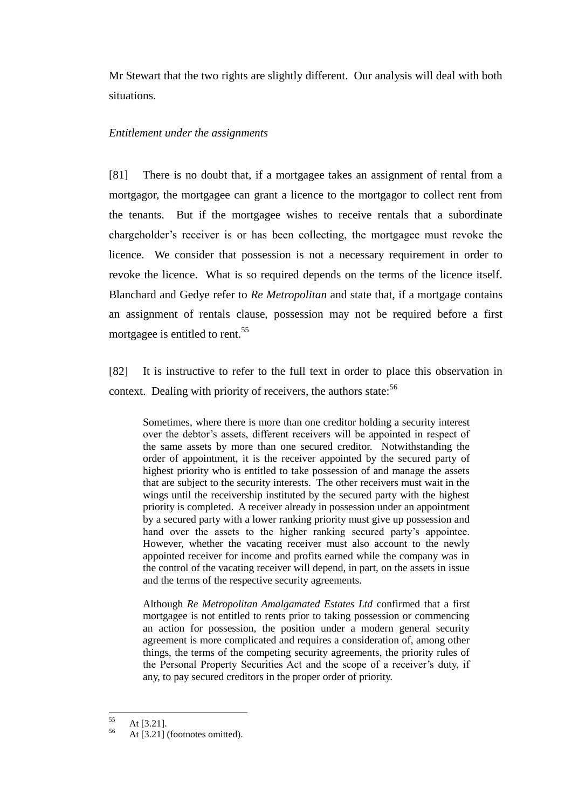Mr Stewart that the two rights are slightly different. Our analysis will deal with both situations.

### *Entitlement under the assignments*

<span id="page-26-0"></span>[81] There is no doubt that, if a mortgagee takes an assignment of rental from a mortgagor, the mortgagee can grant a licence to the mortgagor to collect rent from the tenants. But if the mortgagee wishes to receive rentals that a subordinate chargeholder's receiver is or has been collecting, the mortgagee must revoke the licence. We consider that possession is not a necessary requirement in order to revoke the licence. What is so required depends on the terms of the licence itself. Blanchard and Gedye refer to *Re Metropolitan* and state that, if a mortgage contains an assignment of rentals clause, possession may not be required before a first mortgagee is entitled to rent.<sup>55</sup>

[82] It is instructive to refer to the full text in order to place this observation in context. Dealing with priority of receivers, the authors state:<sup>56</sup>

Sometimes, where there is more than one creditor holding a security interest over the debtor's assets, different receivers will be appointed in respect of the same assets by more than one secured creditor. Notwithstanding the order of appointment, it is the receiver appointed by the secured party of highest priority who is entitled to take possession of and manage the assets that are subject to the security interests. The other receivers must wait in the wings until the receivership instituted by the secured party with the highest priority is completed. A receiver already in possession under an appointment by a secured party with a lower ranking priority must give up possession and hand over the assets to the higher ranking secured party's appointee. However, whether the vacating receiver must also account to the newly appointed receiver for income and profits earned while the company was in the control of the vacating receiver will depend, in part, on the assets in issue and the terms of the respective security agreements.

Although *Re Metropolitan Amalgamated Estates Ltd* confirmed that a first mortgagee is not entitled to rents prior to taking possession or commencing an action for possession, the position under a modern general security agreement is more complicated and requires a consideration of, among other things, the terms of the competing security agreements, the priority rules of the Personal Property Securities Act and the scope of a receiver's duty, if any, to pay secured creditors in the proper order of priority.

<sup>55</sup>  $56$  At [3.21].

At [3.21] (footnotes omitted).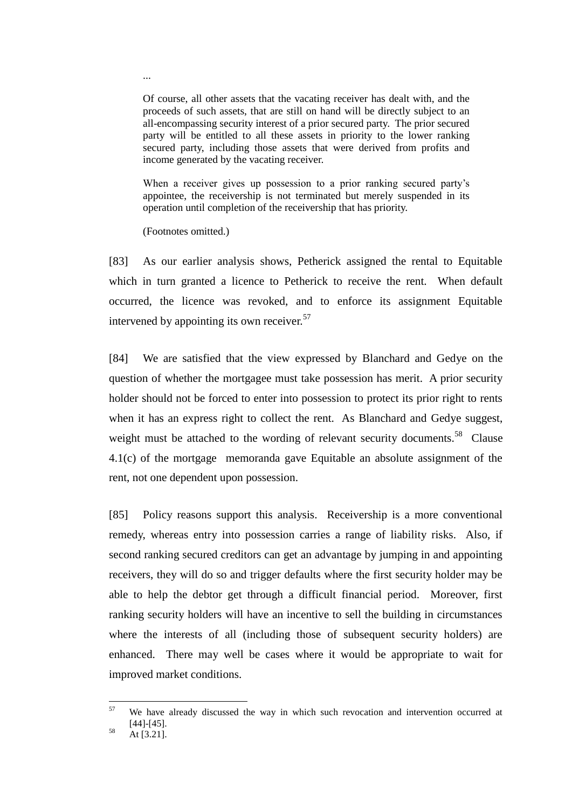Of course, all other assets that the vacating receiver has dealt with, and the proceeds of such assets, that are still on hand will be directly subject to an all-encompassing security interest of a prior secured party. The prior secured party will be entitled to all these assets in priority to the lower ranking secured party, including those assets that were derived from profits and income generated by the vacating receiver.

When a receiver gives up possession to a prior ranking secured party's appointee, the receivership is not terminated but merely suspended in its operation until completion of the receivership that has priority.

(Footnotes omitted.)

[83] As our earlier analysis shows, Petherick assigned the rental to Equitable which in turn granted a licence to Petherick to receive the rent. When default occurred, the licence was revoked, and to enforce its assignment Equitable intervened by appointing its own receiver.<sup>57</sup>

[84] We are satisfied that the view expressed by Blanchard and Gedye on the question of whether the mortgagee must take possession has merit. A prior security holder should not be forced to enter into possession to protect its prior right to rents when it has an express right to collect the rent. As Blanchard and Gedye suggest, weight must be attached to the wording of relevant security documents.<sup>58</sup> Clause 4.1(c) of the mortgage memoranda gave Equitable an absolute assignment of the rent, not one dependent upon possession.

[85] Policy reasons support this analysis. Receivership is a more conventional remedy, whereas entry into possession carries a range of liability risks. Also, if second ranking secured creditors can get an advantage by jumping in and appointing receivers, they will do so and trigger defaults where the first security holder may be able to help the debtor get through a difficult financial period. Moreover, first ranking security holders will have an incentive to sell the building in circumstances where the interests of all (including those of subsequent security holders) are enhanced. There may well be cases where it would be appropriate to wait for improved market conditions.

...

<sup>57</sup> We have already discussed the way in which such revocation and intervention occurred at [44]-[45].

 $58$  At [3.21].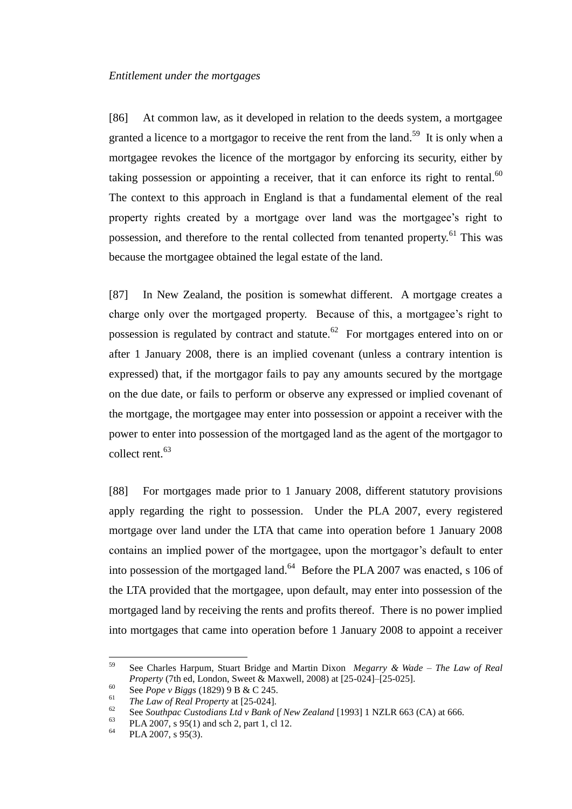<span id="page-28-0"></span>[86] At common law, as it developed in relation to the deeds system, a mortgagee granted a licence to a mortgagor to receive the rent from the land.<sup>59</sup> It is only when a mortgagee revokes the licence of the mortgagor by enforcing its security, either by taking possession or appointing a receiver, that it can enforce its right to rental. $60$ The context to this approach in England is that a fundamental element of the real property rights created by a mortgage over land was the mortgagee's right to possession, and therefore to the rental collected from tenanted property.<sup>61</sup> This was because the mortgagee obtained the legal estate of the land.

[87] In New Zealand, the position is somewhat different. A mortgage creates a charge only over the mortgaged property. Because of this, a mortgagee's right to possession is regulated by contract and statute.<sup>62</sup> For mortgages entered into on or after 1 January 2008, there is an implied covenant (unless a contrary intention is expressed) that, if the mortgagor fails to pay any amounts secured by the mortgage on the due date, or fails to perform or observe any expressed or implied covenant of the mortgage, the mortgagee may enter into possession or appoint a receiver with the power to enter into possession of the mortgaged land as the agent of the mortgagor to collect rent.<sup>63</sup>

[88] For mortgages made prior to 1 January 2008, different statutory provisions apply regarding the right to possession. Under the PLA 2007, every registered mortgage over land under the LTA that came into operation before 1 January 2008 contains an implied power of the mortgagee, upon the mortgagor's default to enter into possession of the mortgaged land. $64$  Before the PLA 2007 was enacted, s 106 of the LTA provided that the mortgagee, upon default, may enter into possession of the mortgaged land by receiving the rents and profits thereof. There is no power implied into mortgages that came into operation before 1 January 2008 to appoint a receiver

<sup>59</sup> <sup>59</sup> See Charles Harpum, Stuart Bridge and Martin Dixon *Megarry & Wade – The Law of Real Property* (7th ed, London, Sweet & Maxwell, 2008) at [25-024]–[25-025].

<sup>60</sup> See *Pope v Biggs* (1829) 9 B & C 245.

<sup>&</sup>lt;sup>61</sup> *The Law of Real Property at* [25-024].

<sup>&</sup>lt;sup>62</sup> See *Southpac Custodians Ltd v Bank of New Zealand* [1993] 1 NZLR 663 (CA) at 666.

<sup>&</sup>lt;sup>63</sup> PLA 2007, s 95(1) and sch 2, part 1, cl 12.

PLA 2007, s 95(3).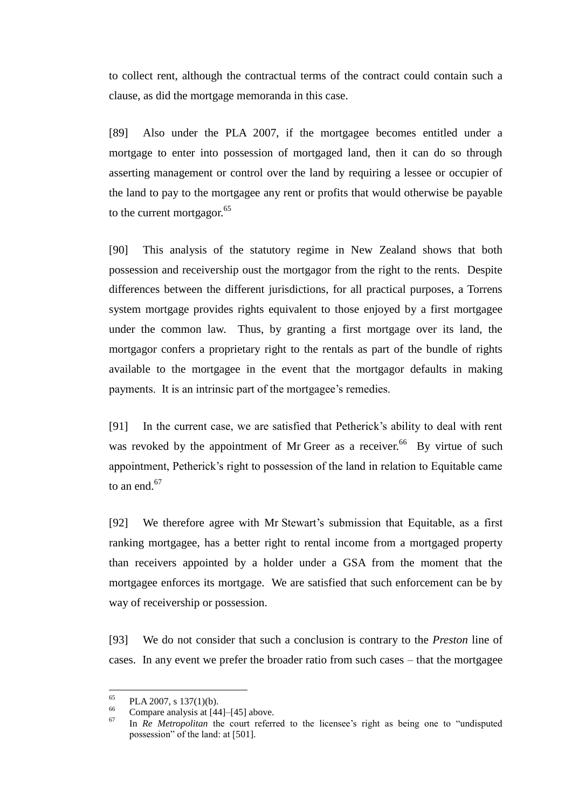to collect rent, although the contractual terms of the contract could contain such a clause, as did the mortgage memoranda in this case.

[89] Also under the PLA 2007, if the mortgagee becomes entitled under a mortgage to enter into possession of mortgaged land, then it can do so through asserting management or control over the land by requiring a lessee or occupier of the land to pay to the mortgagee any rent or profits that would otherwise be payable to the current mortgagor.<sup>65</sup>

[90] This analysis of the statutory regime in New Zealand shows that both possession and receivership oust the mortgagor from the right to the rents. Despite differences between the different jurisdictions, for all practical purposes, a Torrens system mortgage provides rights equivalent to those enjoyed by a first mortgagee under the common law. Thus, by granting a first mortgage over its land, the mortgagor confers a proprietary right to the rentals as part of the bundle of rights available to the mortgagee in the event that the mortgagor defaults in making payments. It is an intrinsic part of the mortgagee's remedies.

[91] In the current case, we are satisfied that Petherick's ability to deal with rent was revoked by the appointment of Mr Greer as a receiver.<sup>66</sup> By virtue of such appointment, Petherick's right to possession of the land in relation to Equitable came to an end. $67$ 

[92] We therefore agree with Mr Stewart's submission that Equitable, as a first ranking mortgagee, has a better right to rental income from a mortgaged property than receivers appointed by a holder under a GSA from the moment that the mortgagee enforces its mortgage. We are satisfied that such enforcement can be by way of receivership or possession.

[93] We do not consider that such a conclusion is contrary to the *Preston* line of cases. In any event we prefer the broader ratio from such cases – that the mortgagee

<sup>65</sup>  $^{65}$  PLA 2007, s 137(1)(b).

<sup>&</sup>lt;sup>66</sup> Compare analysis at  $[44]$ – $[45]$  above.

In *Re Metropolitan* the court referred to the licensee's right as being one to "undisputed possession" of the land: at [501].